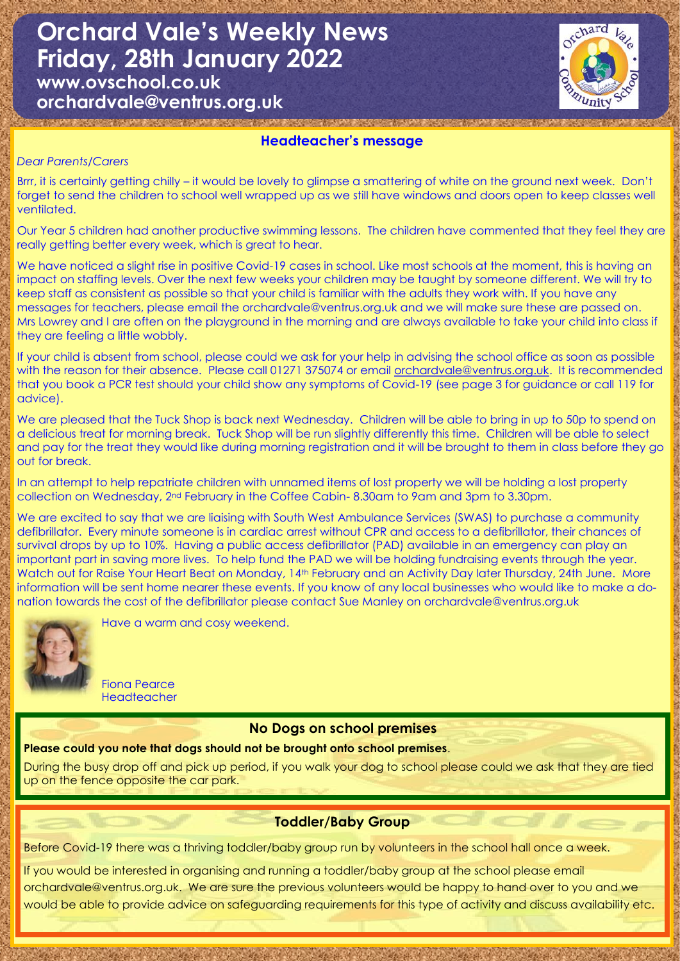**Orchard Vale's Weekly News Friday, 28th January 2022**

**www.ovschool.co.uk orchardvale@ventrus.org.uk**



#### **Headteacher's message**

a shekara ta 1989, a shekara ta 1989, a shekara ta 1989, a shekara ta 1989, a shekara ta 1989, a shekara ta 19

#### *Dear Parents/Carers*

Brrr, it is certainly getting chilly – it would be lovely to glimpse a smattering of white on the ground next week. Don't forget to send the children to school well wrapped up as we still have windows and doors open to keep classes well ventilated.

Our Year 5 children had another productive swimming lessons. The children have commented that they feel they are really getting better every week, which is great to hear.

We have noticed a slight rise in positive Covid-19 cases in school. Like most schools at the moment, this is having an impact on staffing levels. Over the next few weeks your children may be taught by someone different. We will try to keep staff as consistent as possible so that your child is familiar with the adults they work with. If you have any messages for teachers, please email the orchardvale@ventrus.org.uk and we will make sure these are passed on. Mrs Lowrey and I are often on the playground in the morning and are always available to take your child into class if they are feeling a little wobbly.

If your child is absent from school, please could we ask for your help in advising the school office as soon as possible with the reason for their absence. Please call 01271 375074 or email [orchardvale@ventrus.org.uk.](mailto:orchardvale@ventrus.org.uk) It is recommended that you book a PCR test should your child show any symptoms of Covid-19 (see page 3 for guidance or call 119 for advice).

We are pleased that the Tuck Shop is back next Wednesday. Children will be able to bring in up to 50p to spend on a delicious treat for morning break. Tuck Shop will be run slightly differently this time. Children will be able to select and pay for the treat they would like during morning registration and it will be brought to them in class before they go out for break.

In an attempt to help repatriate children with unnamed items of lost property we will be holding a lost property collection on Wednesday, 2nd February in the Coffee Cabin- 8.30am to 9am and 3pm to 3.30pm.

We are excited to say that we are liaising with South West Ambulance Services (SWAS) to purchase a community defibrillator. Every minute someone is in cardiac arrest without CPR and access to a defibrillator, their chances of survival drops by up to 10%. Having a public access defibrillator (PAD) available in an emergency can play an important part in saving more lives. To help fund the PAD we will be holding fundraising events through the year. Watch out for Raise Your Heart Beat on Monday, 14<sup>th</sup> February and an Activity Day later Thursday, 24th June. More information will be sent home nearer these events. If you know of any local businesses who would like to make a donation towards the cost of the defibrillator please contact Sue Manley on orchardvale@ventrus.org.uk



Have a warm and cosy weekend.

Fiona Pearce **Headteacher** 

#### **No Dogs on school premises**

#### **Please could you note that dogs should not be brought onto school premises**.

During the busy drop off and pick up period, if you walk your dog to school please could we ask that they are tied up on the fence opposite the car park.

#### **Toddler/Baby Group**

Before Covid-19 there was a thriving toddler/baby group run by volunteers in the school hall once a week.

If you would be interested in organising and running a toddler/baby group at the school please email orchardvale@ventrus.org.uk. We are sure the previous volunteers would be happy to hand over to you and we would be able to provide advice on safeguarding requirements for this type of activity and discuss availability etc.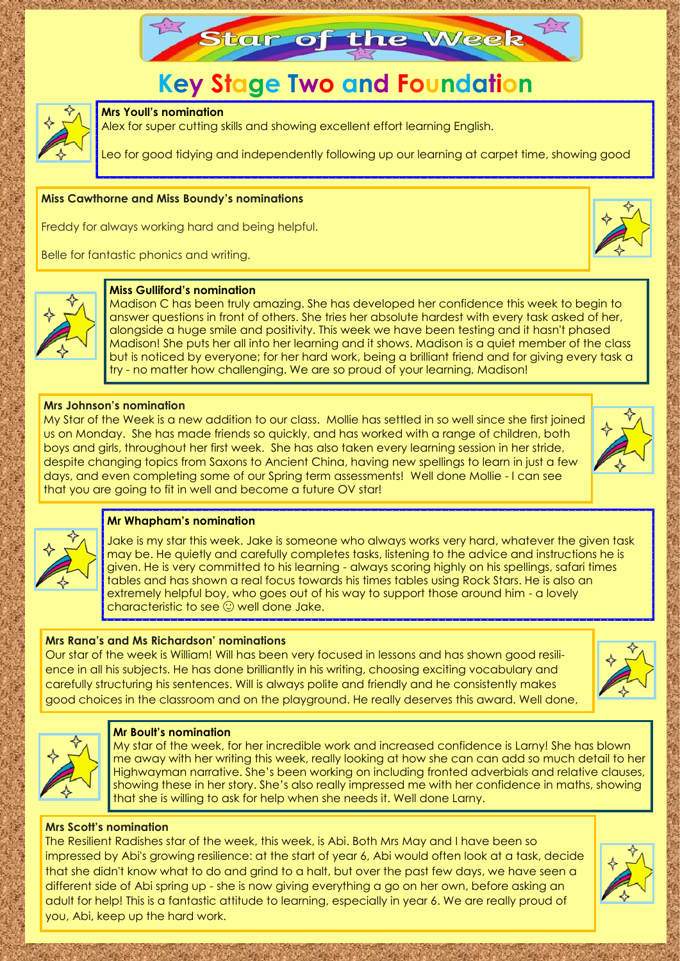

# **Key Stage Two and Foundation**



#### **Mrs Youll's nomination**

Alex for super cutting skills and showing excellent effort learning English.

Leo for good tidying and independently following up our learning at carpet time, showing good

#### **Miss Cawthorne and Miss Boundy's nominations**

Freddy for always working hard and being helpful.

Belle for fantastic phonics and writing.





#### **Miss Gulliford's nomination**

Madison C has been truly amazing. She has developed her confidence this week to begin to answer questions in front of others. She tries her absolute hardest with every task asked of her, alongside a huge smile and positivity. This week we have been testing and it hasn't phased Madison! She puts her all into her learning and it shows. Madison is a quiet member of the class but is noticed by everyone; for her hard work, being a brilliant friend and for giving every task a try - no matter how challenging. We are so proud of your learning, Madison!

#### **Mrs Johnson's nomination**

My Star of the Week is a new addition to our class. Mollie has settled in so well since she first joined us on Monday. She has made friends so quickly, and has worked with a range of children, both boys and girls, throughout her first week. She has also taken every learning session in her stride, despite changing topics from Saxons to Ancient China, having new spellings to learn in just a few days, and even completing some of our Spring term assessments! Well done Mollie - I can see that you are going to fit in well and become a future OV star!



#### **Mr Whapham's nomination**

Jake is my star this week. Jake is someone who always works very hard, whatever the given task may be. He quietly and carefully completes tasks, listening to the advice and instructions he is given. He is very committed to his learning - always scoring highly on his spellings, safari times tables and has shown a real focus towards his times tables using Rock Stars. He is also an extremely helpful boy, who goes out of his way to support those around him - a lovely characteristic to see  $\odot$  well done Jake.

#### **Mrs Rana's and Ms Richardson' nominations**

Our star of the week is William! Will has been very focused in lessons and has shown good resilience in all his subjects. He has done brilliantly in his writing, choosing exciting vocabulary and carefully structuring his sentences. Will is always polite and friendly and he consistently makes good choices in the classroom and on the playground. He really deserves this award. Well done,





#### **Mr Boult's nomination**

My star of the week, for her incredible work and increased confidence is Larny! She has blown me away with her writing this week, really looking at how she can can add so much detail to her Highwayman narrative. She's been working on including fronted adverbials and relative clauses, showing these in her story. She's also really impressed me with her confidence in maths, showing that she is willing to ask for help when she needs it. Well done Larny.

#### **Mrs Scott's nomination**

The Resilient Radishes star of the week, this week, is Abi. Both Mrs May and I have been so impressed by Abi's growing resilience: at the start of year 6, Abi would often look at a task, decide that she didn't know what to do and grind to a halt, but over the past few days, we have seen a different side of Abi spring up - she is now giving everything a go on her own, before asking an adult for help! This is a fantastic attitude to learning, especially in year 6. We are really proud of you, Abi, keep up the hard work.

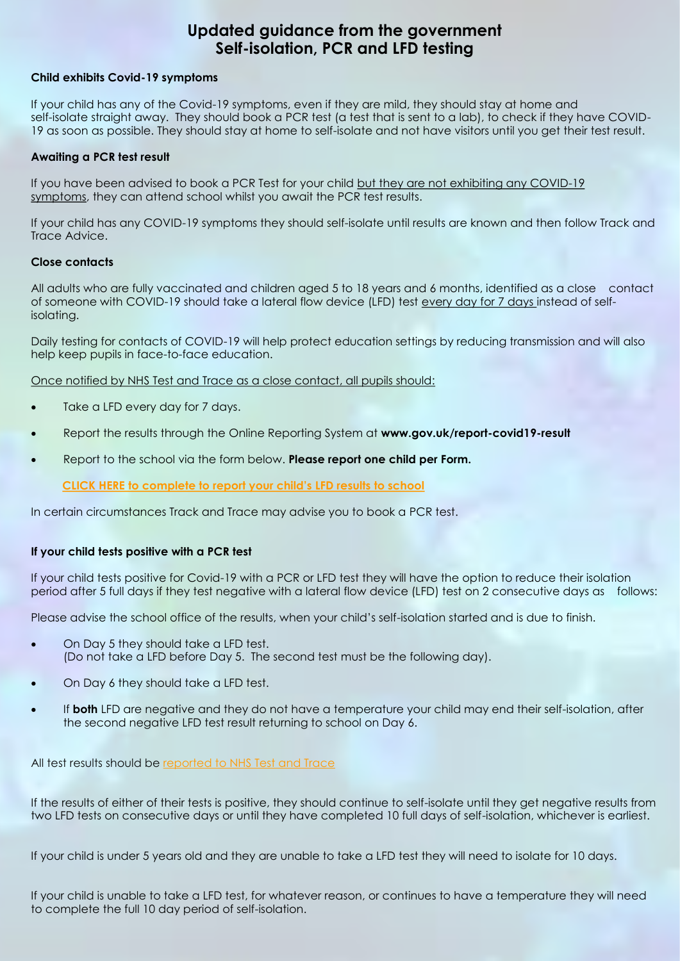### **Updated guidance from the government Self-isolation, PCR and LFD testing**

#### **Child exhibits Covid-19 symptoms**

If your child has any of the Covid-19 symptoms, even if they are mild, they should stay at home and self-isolate straight away. They should book a PCR test (a test that is sent to a lab), to check if they have COVID-19 as soon as possible. They should stay at home to self-isolate and not have visitors until you get their test result.

#### **Awaiting a PCR test result**

If you have been advised to book a PCR Test for your child but they are not exhibiting any COVID-19 symptoms, they can attend school whilst you await the PCR test results.

If your child has any COVID-19 symptoms they should self-isolate until results are known and then follow Track and Trace Advice.

#### **Close contacts**

All adults who are fully vaccinated and children aged 5 to 18 years and 6 months, identified as a close contact of someone with COVID-19 should take a lateral flow device (LFD) test every day for 7 days instead of selfisolating.

Daily testing for contacts of COVID-19 will help protect education settings by reducing transmission and will also help keep pupils in face-to-face education.

Once notified by NHS Test and Trace as a close contact, all pupils should:

- Take a LFD every day for 7 days.
- Report the results through the Online Reporting System at **www.gov.uk/report-covid19-result**
- Report to the school via the form below. **Please report one child per Form.**

**[CLICK HERE to complete to report your child's LFD results to school](https://forms.office.com/Pages/ResponsePage.aspx?id=3RWFZvuneEGMNLPFLdk_cJowa1ip94FOhfmHoY4XhUBURjVETkFMTzlQUEUyT1lOWFk0UlE0SlJYRC4u)**

In certain circumstances Track and Trace may advise you to book a PCR test.

#### **If your child tests positive with a PCR test**

If your child tests positive for Covid-19 with a PCR or LFD test they will have the option to reduce their isolation period after 5 full days if they test negative with a lateral flow device (LFD) test on 2 consecutive days as follows:

Please advise the school office of the results, when your child's self-isolation started and is due to finish.

- On Day 5 they should take a LFD test. (Do not take a LFD before Day 5. The second test must be the following day).
- On Day 6 they should take a LFD test.
- If **both** LFD are negative and they do not have a temperature your child may end their self-isolation, after the second negative LFD test result returning to school on Day 6.

All test results should be [reported to NHS Test and Trace](https://www.gov.uk/report-covid19-result?utm_source=14%20January%202022%20C19&utm_medium=Daily%20Email%20C19&utm_campaign=DfE%20C19)

If the results of either of their tests is positive, they should continue to self-isolate until they get negative results from two LFD tests on consecutive days or until they have completed 10 full days of self-isolation, whichever is earliest.

If your child is under 5 years old and they are unable to take a LFD test they will need to isolate for 10 days.

If your child is unable to take a LFD test, for whatever reason, or continues to have a temperature they will need to complete the full 10 day period of self-isolation.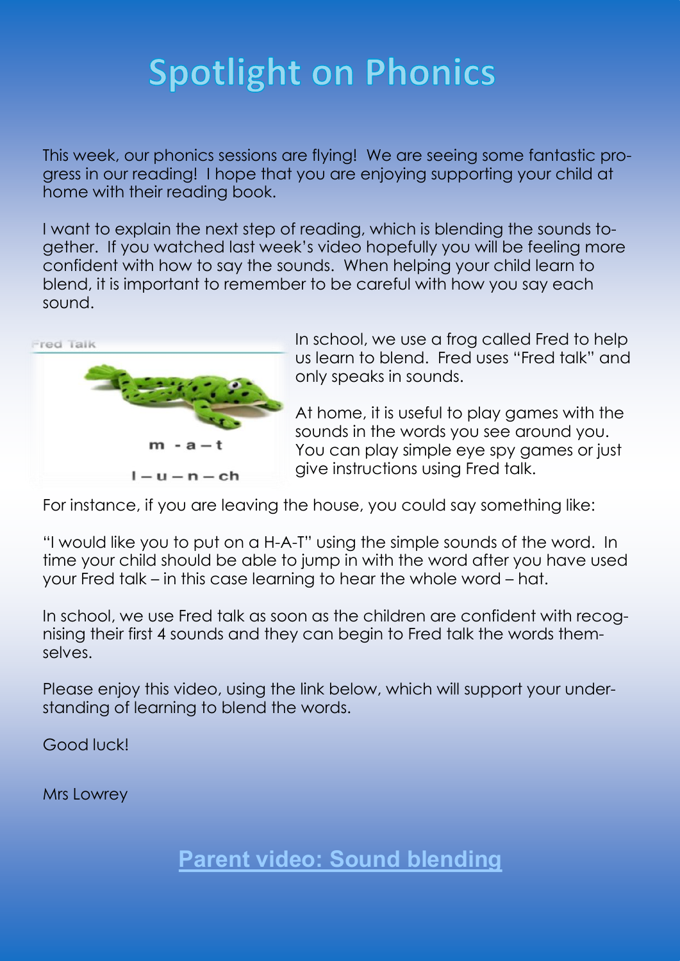# **Spotlight on Phonics**

This week, our phonics sessions are flying! We are seeing some fantastic progress in our reading! I hope that you are enjoying supporting your child at home with their reading book.

I want to explain the next step of reading, which is blending the sounds together. If you watched last week's video hopefully you will be feeling more confident with how to say the sounds. When helping your child learn to blend, it is important to remember to be careful with how you say each sound.



In school, we use a frog called Fred to help us learn to blend. Fred uses "Fred talk" and only speaks in sounds.

At home, it is useful to play games with the sounds in the words you see around you. You can play simple eye spy games or just give instructions using Fred talk.

For instance, if you are leaving the house, you could say something like:

"I would like you to put on a H-A-T" using the simple sounds of the word. In time your child should be able to jump in with the word after you have used your Fred talk – in this case learning to hear the whole word – hat.

In school, we use Fred talk as soon as the children are confident with recognising their first 4 sounds and they can begin to Fred talk the words themselves.

Please enjoy this video, using the link below, which will support your understanding of learning to blend the words.

Good luck!

Mrs Lowrey

**[Parent video: Sound blending](https://www.youtube.com/watch?v=MNyFikwNQTg&list=PLDe74j1F52zSCiOMSn3zQDSzgu9TrbQ1c&index=17)**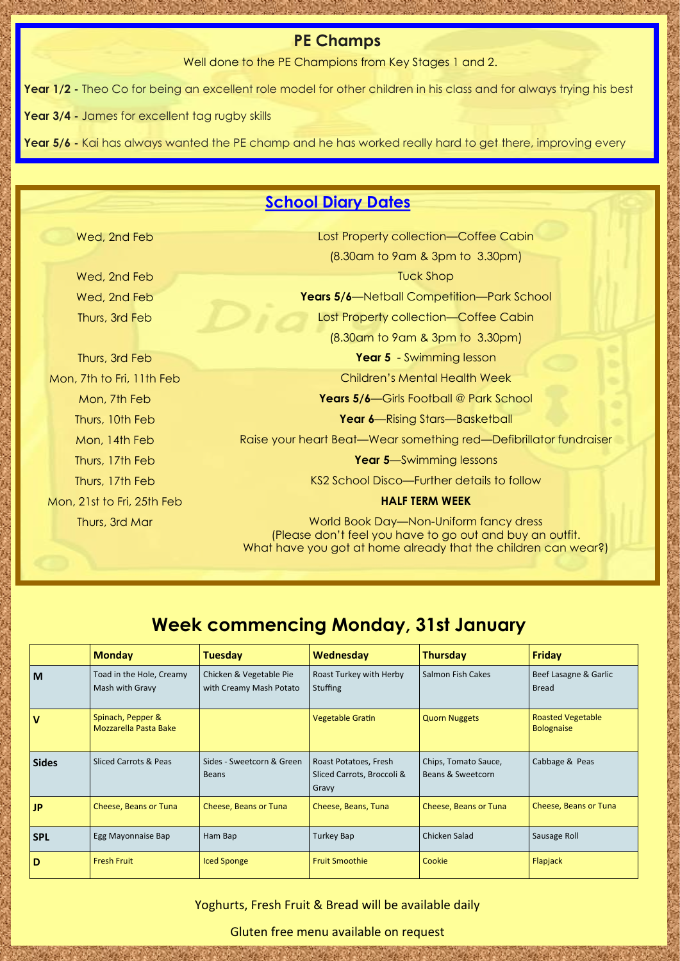#### **PE Champs**

Well done to the PE Champions from Key Stages 1 and 2.

**Year 1/2 -** Theo Co for being an excellent role model for other children in his class and for always trying his best

**Year 3/4 -** James for excellent tag rugby skills

**Year 5/6 -** Kai has always wanted the PE champ and he has worked really hard to get there, improving every

## **School Diary Dates**

|  | Wed, 2nd Feb |  |
|--|--------------|--|
|  |              |  |

Lost Property collection—Coffee Cabin (8.30am to 9am & 3pm to 3.30pm) **Wed, 2nd Feb Tuck Shop** Wed, 2nd Feb **Years 5/6**—Netball Competition—Park School Thurs, 3rd Feb Lost Property collection—Coffee Cabin (8.30am to 9am & 3pm to 3.30pm) Thurs, 3rd Feb **Year 5** - Swimming lesson Mon, 7th to Fri, 11th Feb Children's Mental Health Week Mon, 7th Feb **Years 5/6**—Girls Football @ Park School Thurs, 10th Feb **Year 6**—Rising Stars—Basketball Mon, 14th Feb Raise your heart Beat—Wear something red—Defibrillator fundraiser Thurs, 17th Feb **Year 5**—Swimming lessons Thurs, 17th Feb **KS2 School Disco—Further details to follow** KS2 School Disco—Further details to follow Mon, 21st to Fri, 25th Feb **HALF TERM WEEK**

Thurs, 3rd Mar World Book Day—Non-Uniform fancy dress (Please don't feel you have to go out and buy an outfit. What have you got at home already that the children can wear?)

# **Week commencing Monday, 31st January**

|              | <b>Monday</b>                               | <b>Tuesday</b>                                     | Wednesday                                                    | <b>Thursday</b>                           | Friday                                        |
|--------------|---------------------------------------------|----------------------------------------------------|--------------------------------------------------------------|-------------------------------------------|-----------------------------------------------|
| M            | Toad in the Hole, Creamy<br>Mash with Gravy | Chicken & Vegetable Pie<br>with Creamy Mash Potato | Roast Turkey with Herby<br><b>Stuffing</b>                   | Salmon Fish Cakes                         | Beef Lasagne & Garlic<br><b>Bread</b>         |
| v            | Spinach, Pepper &<br>Mozzarella Pasta Bake  |                                                    | <b>Vegetable Gratin</b>                                      | <b>Quorn Nuggets</b>                      | <b>Roasted Vegetable</b><br><b>Bolognaise</b> |
| <b>Sides</b> | Sliced Carrots & Peas                       | Sides - Sweetcorn & Green<br>Beans                 | Roast Potatoes, Fresh<br>Sliced Carrots, Broccoli &<br>Gravy | Chips, Tomato Sauce,<br>Beans & Sweetcorn | Cabbage & Peas                                |
| JP           | Cheese, Beans or Tuna                       | Cheese, Beans or Tuna                              | Cheese, Beans, Tuna                                          | Cheese, Beans or Tuna                     | Cheese, Beans or Tuna                         |
| <b>SPL</b>   | Egg Mayonnaise Bap                          | Ham Bap                                            | <b>Turkey Bap</b>                                            | Chicken Salad                             | Sausage Roll                                  |
| D            | <b>Fresh Fruit</b>                          | <b>Iced Sponge</b>                                 | <b>Fruit Smoothie</b>                                        | Cookie                                    | Flapjack                                      |

Yoghurts, Fresh Fruit & Bread will be available daily

Gluten free menu available on request